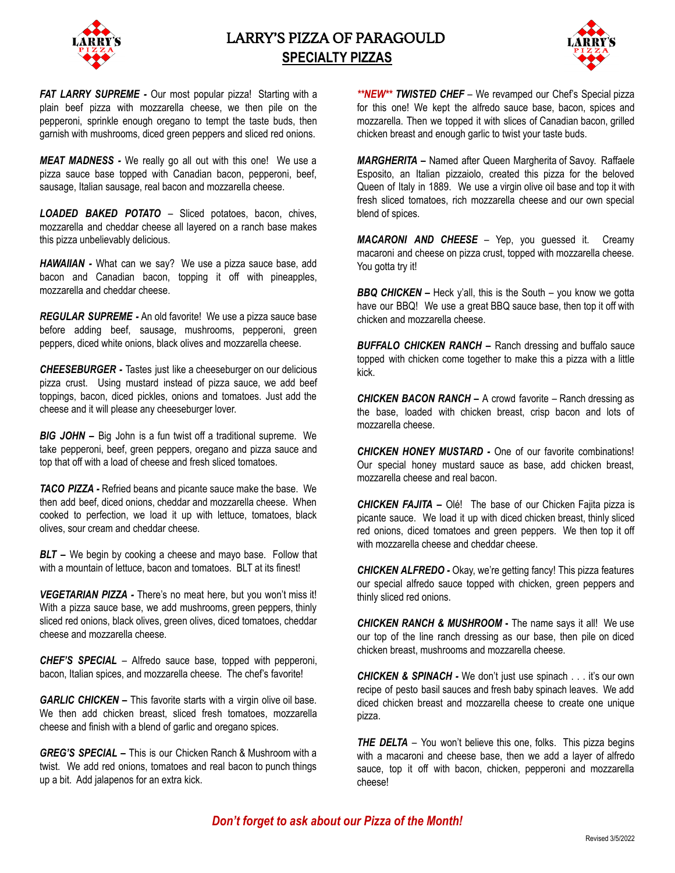

# LARRY'S PIZZA OF PARAGOULD **SPECIALTY PIZZAS**



*FAT LARRY SUPREME -* Our most popular pizza! Starting with a plain beef pizza with mozzarella cheese, we then pile on the pepperoni, sprinkle enough oregano to tempt the taste buds, then garnish with mushrooms, diced green peppers and sliced red onions.

*MEAT MADNESS -* We really go all out with this one! We use a pizza sauce base topped with Canadian bacon, pepperoni, beef, sausage, Italian sausage, real bacon and mozzarella cheese.

*LOADED BAKED POTATO* – Sliced potatoes, bacon, chives, mozzarella and cheddar cheese all layered on a ranch base makes this pizza unbelievably delicious.

*HAWAIIAN -* What can we say? We use a pizza sauce base, add bacon and Canadian bacon, topping it off with pineapples, mozzarella and cheddar cheese.

*REGULAR SUPREME -* An old favorite! We use a pizza sauce base before adding beef, sausage, mushrooms, pepperoni, green peppers, diced white onions, black olives and mozzarella cheese.

*CHEESEBURGER -* Tastes just like a cheeseburger on our delicious pizza crust. Using mustard instead of pizza sauce, we add beef toppings, bacon, diced pickles, onions and tomatoes. Just add the cheese and it will please any cheeseburger lover.

*BIG JOHN –* Big John is a fun twist off a traditional supreme. We take pepperoni, beef, green peppers, oregano and pizza sauce and top that off with a load of cheese and fresh sliced tomatoes.

*TACO PIZZA -* Refried beans and picante sauce make the base. We then add beef, diced onions, cheddar and mozzarella cheese. When cooked to perfection, we load it up with lettuce, tomatoes, black olives, sour cream and cheddar cheese.

*BLT* – We begin by cooking a cheese and mayo base. Follow that with a mountain of lettuce, bacon and tomatoes. BLT at its finest!

*VEGETARIAN PIZZA -* There's no meat here, but you won't miss it! With a pizza sauce base, we add mushrooms, green peppers, thinly sliced red onions, black olives, green olives, diced tomatoes, cheddar cheese and mozzarella cheese.

*CHEF'S SPECIAL* – Alfredo sauce base, topped with pepperoni, bacon, Italian spices, and mozzarella cheese. The chef's favorite!

*GARLIC CHICKEN –* This favorite starts with a virgin olive oil base. We then add chicken breast, sliced fresh tomatoes, mozzarella cheese and finish with a blend of garlic and oregano spices.

*GREG'S SPECIAL –* This is our Chicken Ranch & Mushroom with a twist. We add red onions, tomatoes and real bacon to punch things up a bit. Add jalapenos for an extra kick.

*\*\*NEW\*\* TWISTED CHEF* – We revamped our Chef's Special pizza for this one! We kept the alfredo sauce base, bacon, spices and mozzarella. Then we topped it with slices of Canadian bacon, grilled chicken breast and enough garlic to twist your taste buds.

*MARGHERITA –* Named after Queen Margherita of Savoy. Raffaele Esposito, an Italian pizzaiolo, created this pizza for the beloved Queen of Italy in 1889. We use a virgin olive oil base and top it with fresh sliced tomatoes, rich mozzarella cheese and our own special blend of spices.

*MACARONI AND CHEESE* – Yep, you guessed it. Creamy macaroni and cheese on pizza crust, topped with mozzarella cheese. You gotta try it!

*BBQ CHICKEN –* Heck y'all, this is the South – you know we gotta have our BBQ! We use a great BBQ sauce base, then top it off with chicken and mozzarella cheese.

*BUFFALO CHICKEN RANCH –* Ranch dressing and buffalo sauce topped with chicken come together to make this a pizza with a little kick.

*CHICKEN BACON RANCH –* A crowd favorite – Ranch dressing as the base, loaded with chicken breast, crisp bacon and lots of mozzarella cheese.

*CHICKEN HONEY MUSTARD -* One of our favorite combinations! Our special honey mustard sauce as base, add chicken breast, mozzarella cheese and real bacon.

*CHICKEN FAJITA –* Olé! The base of our Chicken Fajita pizza is picante sauce. We load it up with diced chicken breast, thinly sliced red onions, diced tomatoes and green peppers. We then top it off with mozzarella cheese and cheddar cheese.

*CHICKEN ALFREDO -* Okay, we're getting fancy! This pizza features our special alfredo sauce topped with chicken, green peppers and thinly sliced red onions.

*CHICKEN RANCH & MUSHROOM* **-** The name says it all! We use our top of the line ranch dressing as our base, then pile on diced chicken breast, mushrooms and mozzarella cheese.

*CHICKEN & SPINACH -* We don't just use spinach . . . it's our own recipe of pesto basil sauces and fresh baby spinach leaves. We add diced chicken breast and mozzarella cheese to create one unique pizza.

*THE DELTA* – You won't believe this one, folks. This pizza begins with a macaroni and cheese base, then we add a layer of alfredo sauce, top it off with bacon, chicken, pepperoni and mozzarella cheese!